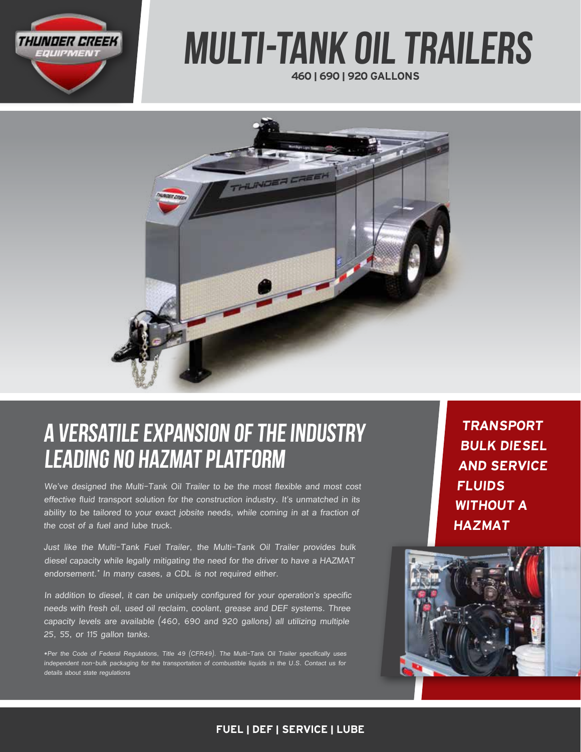

# 460 | 690 | 920 GALLONS Multi-Tank OIL Trailers



# A VERSATILE EXPANSION OF THE industry leading NO HAZMAT PLATFORM

We've designed the Multi-Tank Oil Trailer to be the most flexible and most cost effective fluid transport solution for the construction industry. It's unmatched in its ability to be tailored to your exact jobsite needs, while coming in at a fraction of the cost of a fuel and lube truck.

Just like the Multi-Tank Fuel Trailer, the Multi-Tank Oil Trailer provides bulk diesel capacity while legally mitigating the need for the driver to have a HAZMAT endorsement.\* In many cases, a CDL is not required either.

In addition to diesel, it can be uniquely configured for your operation's specific needs with fresh oil, used oil reclaim, coolant, grease and DEF systems. Three capacity levels are available (460, 690 and 920 gallons) all utilizing multiple 25, 55, or 115 gallon tanks.

\*Per the Code of Federal Regulations, Title 49 (CFR49). The Multi-Tank Oil Trailer specifically uses independent non-bulk packaging for the transportation of combustible liquids in the U.S. Contact us for details about state regulations

TRANSPORT BULK DIESEL AND SERVICE **FLUIDS** WITHOUT A HAZMAT



### FUEL | DEF | SERVICE | LUBE